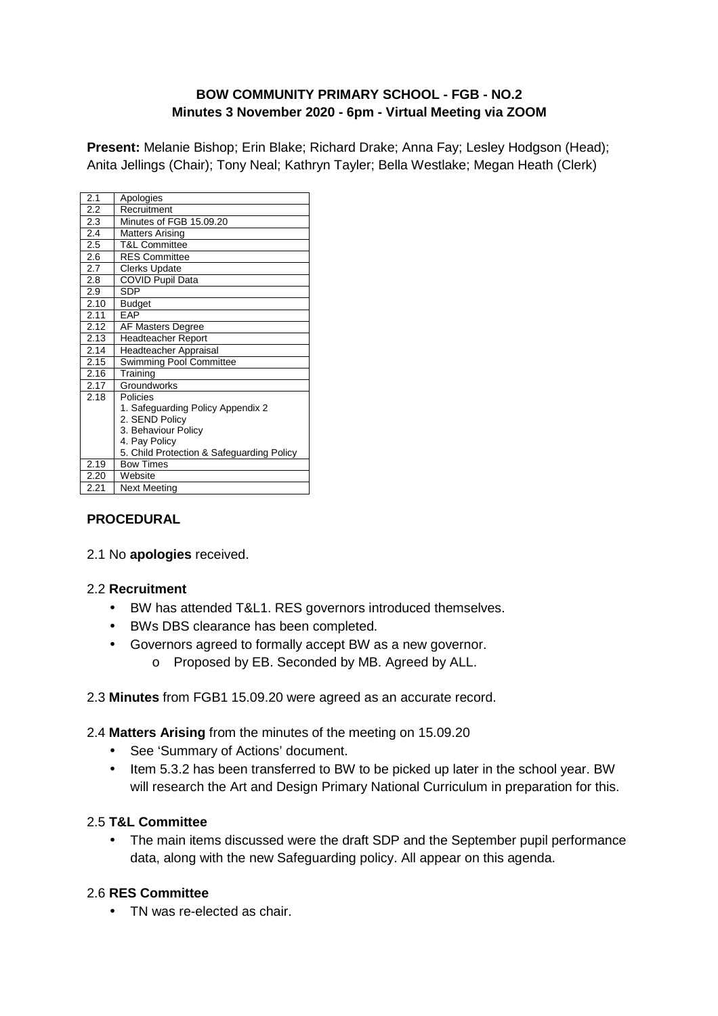### **BOW COMMUNITY PRIMARY SCHOOL - FGB - NO.2 Minutes 3 November 2020 - 6pm - Virtual Meeting via ZOOM**

**Present:** Melanie Bishop; Erin Blake; Richard Drake; Anna Fay; Lesley Hodgson (Head); Anita Jellings (Chair); Tony Neal; Kathryn Tayler; Bella Westlake; Megan Heath (Clerk)

| 2.1  | Apologies                                 |
|------|-------------------------------------------|
| 2.2  | Recruitment                               |
| 2.3  | Minutes of FGB 15.09.20                   |
| 2.4  | Matters Arising                           |
| 2.5  | T&L Committee                             |
| 2.6  | <b>RES Committee</b>                      |
| 2.7  | <b>Clerks Update</b>                      |
| 2.8  | COVID Pupil Data                          |
| 2.9  | <b>SDP</b>                                |
| 2.10 | Budget                                    |
| 2.11 | FAP                                       |
| 2.12 | <b>AF</b> Masters Degree                  |
| 2.13 | <b>Headteacher Report</b>                 |
| 2.14 | Headteacher Appraisal                     |
| 2.15 | Swimming Pool Committee                   |
| 2.16 | Training                                  |
| 2.17 | Groundworks                               |
| 2.18 | Policies                                  |
|      | 1. Safeguarding Policy Appendix 2         |
|      | 2. SEND Policy                            |
|      | 3. Behaviour Policy                       |
|      | 4. Pay Policy                             |
|      | 5. Child Protection & Safeguarding Policy |
| 2.19 | <b>Bow Times</b>                          |
| 2.20 | Website                                   |
| 2.21 | Next Meetina                              |

### **PROCEDURAL**

2.1 No **apologies** received.

### 2.2 **Recruitment**

- BW has attended T&L1. RES governors introduced themselves.
- BWs DBS clearance has been completed.
- Governors agreed to formally accept BW as a new governor.
	- o Proposed by EB. Seconded by MB. Agreed by ALL.

#### 2.3 **Minutes** from FGB1 15.09.20 were agreed as an accurate record.

#### 2.4 **Matters Arising** from the minutes of the meeting on 15.09.20

- See 'Summary of Actions' document.
- Item 5.3.2 has been transferred to BW to be picked up later in the school year. BW will research the Art and Design Primary National Curriculum in preparation for this.

### 2.5 **T&L Committee**

• The main items discussed were the draft SDP and the September pupil performance data, along with the new Safeguarding policy. All appear on this agenda.

### 2.6 **RES Committee**

• TN was re-elected as chair.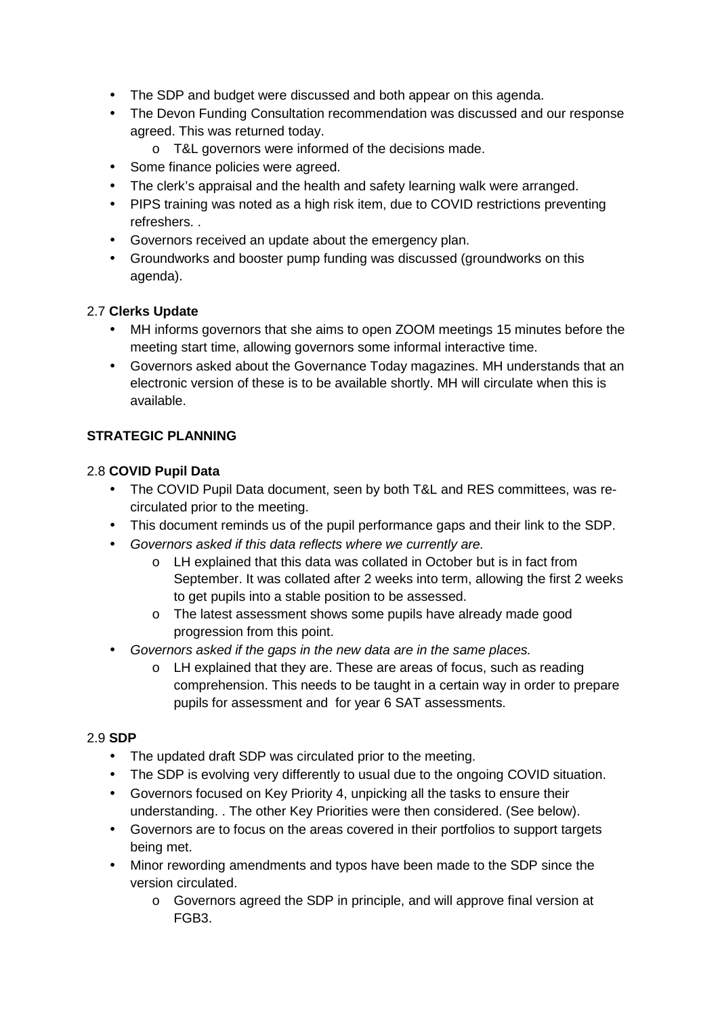- The SDP and budget were discussed and both appear on this agenda.
- The Devon Funding Consultation recommendation was discussed and our response agreed. This was returned today.
	- o T&L governors were informed of the decisions made.
- Some finance policies were agreed.
- The clerk's appraisal and the health and safety learning walk were arranged.
- PIPS training was noted as a high risk item, due to COVID restrictions preventing refreshers. .
- Governors received an update about the emergency plan.
- Groundworks and booster pump funding was discussed (groundworks on this agenda).

# 2.7 **Clerks Update**

- MH informs governors that she aims to open ZOOM meetings 15 minutes before the meeting start time, allowing governors some informal interactive time.
- Governors asked about the Governance Today magazines. MH understands that an electronic version of these is to be available shortly. MH will circulate when this is available.

# **STRATEGIC PLANNING**

### 2.8 **COVID Pupil Data**

- The COVID Pupil Data document, seen by both T&L and RES committees, was recirculated prior to the meeting.
- This document reminds us of the pupil performance gaps and their link to the SDP.
- Governors asked if this data reflects where we currently are.
	- o LH explained that this data was collated in October but is in fact from September. It was collated after 2 weeks into term, allowing the first 2 weeks to get pupils into a stable position to be assessed.
	- o The latest assessment shows some pupils have already made good progression from this point.
- Governors asked if the gaps in the new data are in the same places.
	- o LH explained that they are. These are areas of focus, such as reading comprehension. This needs to be taught in a certain way in order to prepare pupils for assessment and for year 6 SAT assessments.

### 2.9 **SDP**

- The updated draft SDP was circulated prior to the meeting.
- The SDP is evolving very differently to usual due to the ongoing COVID situation.
- Governors focused on Key Priority 4, unpicking all the tasks to ensure their understanding. . The other Key Priorities were then considered. (See below).
- Governors are to focus on the areas covered in their portfolios to support targets being met.
- Minor rewording amendments and typos have been made to the SDP since the version circulated.
	- o Governors agreed the SDP in principle, and will approve final version at FGB3.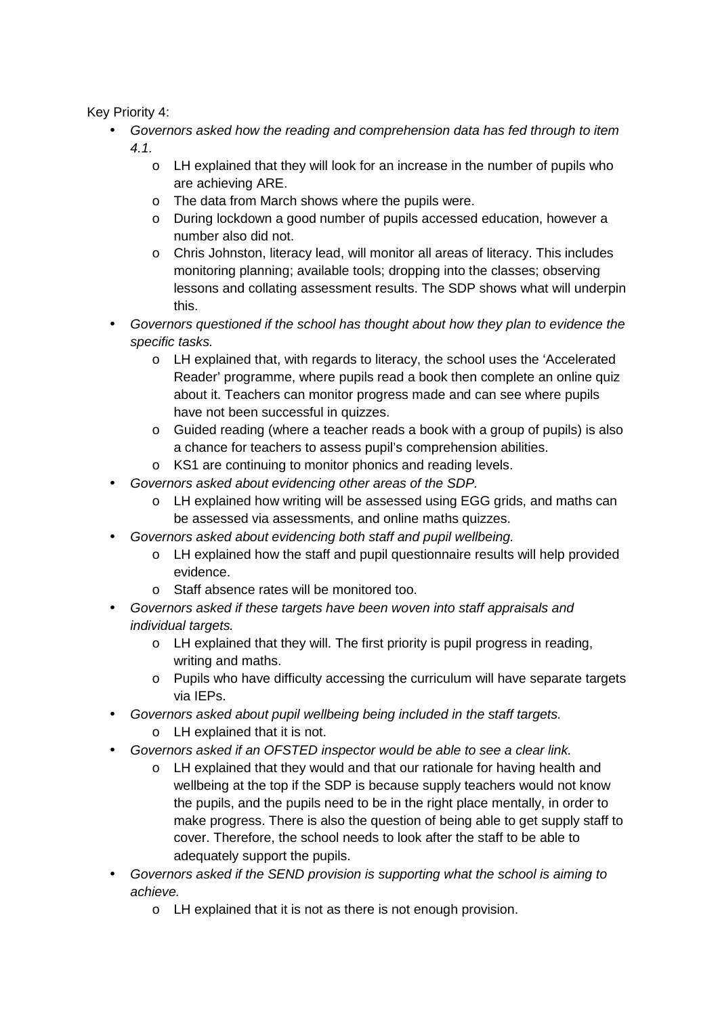Key Priority 4:

- Governors asked how the reading and comprehension data has fed through to item 4.1.
	- o LH explained that they will look for an increase in the number of pupils who are achieving ARE.
	- o The data from March shows where the pupils were.
	- o During lockdown a good number of pupils accessed education, however a number also did not.
	- o Chris Johnston, literacy lead, will monitor all areas of literacy. This includes monitoring planning; available tools; dropping into the classes; observing lessons and collating assessment results. The SDP shows what will underpin this.
- Governors questioned if the school has thought about how they plan to evidence the specific tasks.
	- o LH explained that, with regards to literacy, the school uses the 'Accelerated Reader' programme, where pupils read a book then complete an online quiz about it. Teachers can monitor progress made and can see where pupils have not been successful in quizzes.
	- o Guided reading (where a teacher reads a book with a group of pupils) is also a chance for teachers to assess pupil's comprehension abilities.
	- o KS1 are continuing to monitor phonics and reading levels.
- Governors asked about evidencing other areas of the SDP.
	- o LH explained how writing will be assessed using EGG grids, and maths can be assessed via assessments, and online maths quizzes.
- Governors asked about evidencing both staff and pupil wellbeing.
	- $\circ$  LH explained how the staff and pupil questionnaire results will help provided evidence.
	- o Staff absence rates will be monitored too.
- Governors asked if these targets have been woven into staff appraisals and individual targets.
	- o LH explained that they will. The first priority is pupil progress in reading, writing and maths.
	- o Pupils who have difficulty accessing the curriculum will have separate targets via IEPs.
- Governors asked about pupil wellbeing being included in the staff targets.
	- o LH explained that it is not.
- Governors asked if an OFSTED inspector would be able to see a clear link.
	- o LH explained that they would and that our rationale for having health and wellbeing at the top if the SDP is because supply teachers would not know the pupils, and the pupils need to be in the right place mentally, in order to make progress. There is also the question of being able to get supply staff to cover. Therefore, the school needs to look after the staff to be able to adequately support the pupils.
- Governors asked if the SEND provision is supporting what the school is aiming to achieve.
	- o LH explained that it is not as there is not enough provision.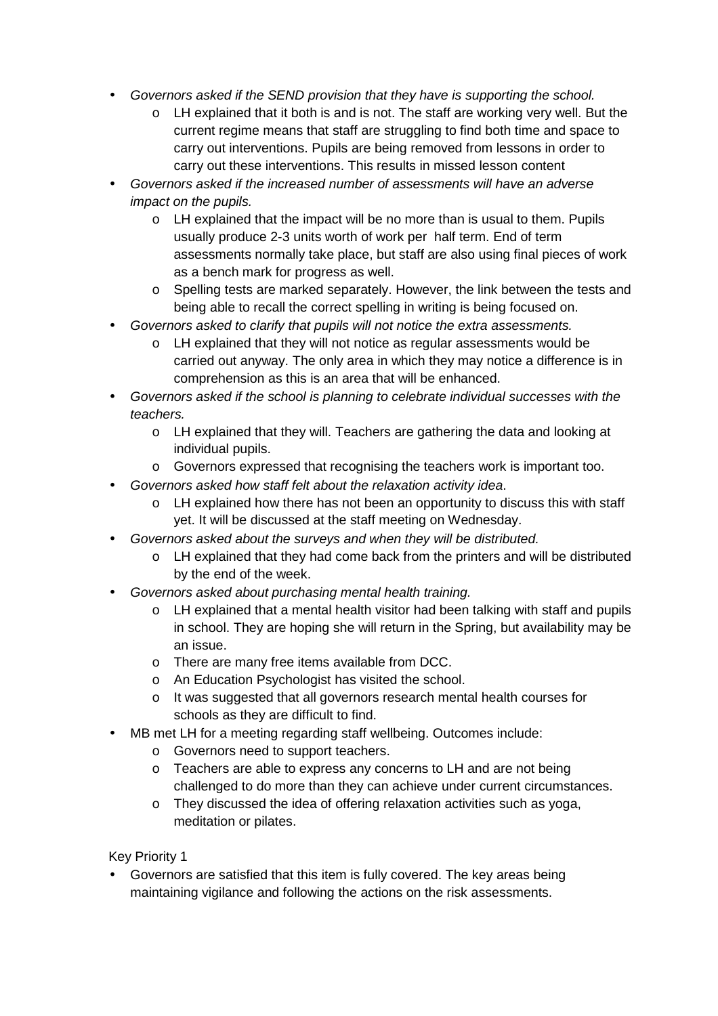- Governors asked if the SEND provision that they have is supporting the school.
	- o LH explained that it both is and is not. The staff are working very well. But the current regime means that staff are struggling to find both time and space to carry out interventions. Pupils are being removed from lessons in order to carry out these interventions. This results in missed lesson content
- Governors asked if the increased number of assessments will have an adverse impact on the pupils.
	- o LH explained that the impact will be no more than is usual to them. Pupils usually produce 2-3 units worth of work per half term. End of term assessments normally take place, but staff are also using final pieces of work as a bench mark for progress as well.
	- o Spelling tests are marked separately. However, the link between the tests and being able to recall the correct spelling in writing is being focused on.
- Governors asked to clarify that pupils will not notice the extra assessments.
	- o LH explained that they will not notice as regular assessments would be carried out anyway. The only area in which they may notice a difference is in comprehension as this is an area that will be enhanced.
- Governors asked if the school is planning to celebrate individual successes with the teachers.
	- o LH explained that they will. Teachers are gathering the data and looking at individual pupils.
	- o Governors expressed that recognising the teachers work is important too.
- Governors asked how staff felt about the relaxation activity idea.
	- $\circ$  LH explained how there has not been an opportunity to discuss this with staff yet. It will be discussed at the staff meeting on Wednesday.
- Governors asked about the surveys and when they will be distributed.
	- $\circ$  LH explained that they had come back from the printers and will be distributed by the end of the week.
- Governors asked about purchasing mental health training.
	- o LH explained that a mental health visitor had been talking with staff and pupils in school. They are hoping she will return in the Spring, but availability may be an issue.
	- o There are many free items available from DCC.
	- o An Education Psychologist has visited the school.
	- o It was suggested that all governors research mental health courses for schools as they are difficult to find.
- MB met LH for a meeting regarding staff wellbeing. Outcomes include:
	- o Governors need to support teachers.
	- o Teachers are able to express any concerns to LH and are not being challenged to do more than they can achieve under current circumstances.
	- o They discussed the idea of offering relaxation activities such as yoga, meditation or pilates.

Key Priority 1

• Governors are satisfied that this item is fully covered. The key areas being maintaining vigilance and following the actions on the risk assessments.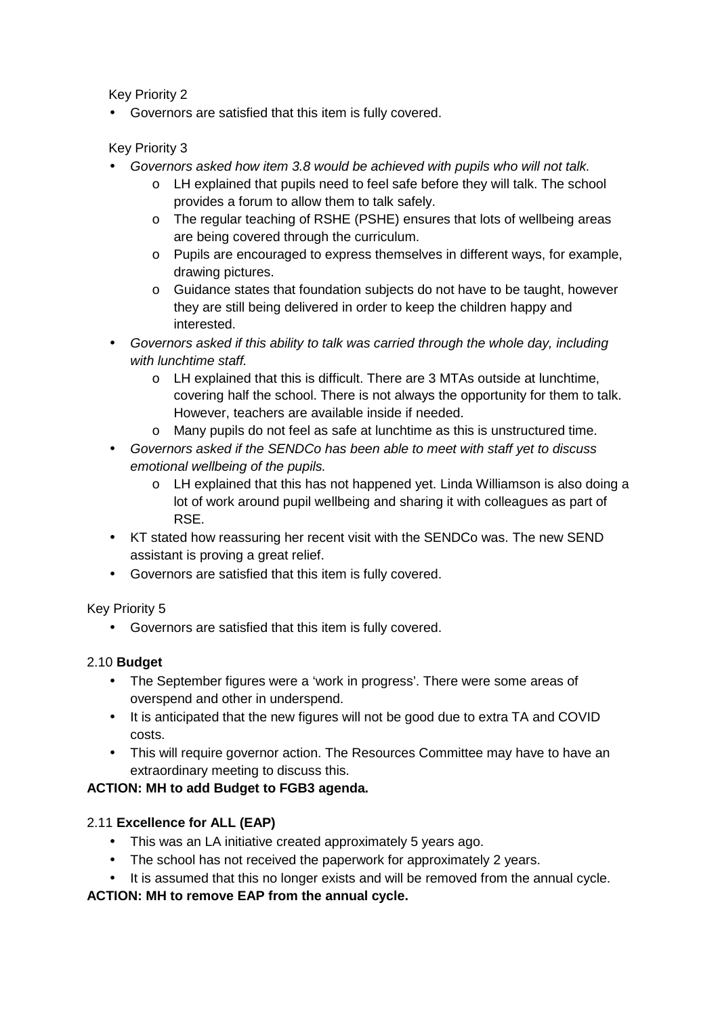Key Priority 2

• Governors are satisfied that this item is fully covered.

Key Priority 3

- Governors asked how item 3.8 would be achieved with pupils who will not talk.
	- o LH explained that pupils need to feel safe before they will talk. The school provides a forum to allow them to talk safely.
	- o The regular teaching of RSHE (PSHE) ensures that lots of wellbeing areas are being covered through the curriculum.
	- o Pupils are encouraged to express themselves in different ways, for example, drawing pictures.
	- o Guidance states that foundation subjects do not have to be taught, however they are still being delivered in order to keep the children happy and interested.
- Governors asked if this ability to talk was carried through the whole day, including with lunchtime staff.
	- o LH explained that this is difficult. There are 3 MTAs outside at lunchtime, covering half the school. There is not always the opportunity for them to talk. However, teachers are available inside if needed.
	- o Many pupils do not feel as safe at lunchtime as this is unstructured time.
- Governors asked if the SENDCo has been able to meet with staff yet to discuss emotional wellbeing of the pupils.
	- o LH explained that this has not happened yet. Linda Williamson is also doing a lot of work around pupil wellbeing and sharing it with colleagues as part of RSE.
- KT stated how reassuring her recent visit with the SENDCo was. The new SEND assistant is proving a great relief.
- Governors are satisfied that this item is fully covered.

Key Priority 5

• Governors are satisfied that this item is fully covered.

### 2.10 **Budget**

- The September figures were a 'work in progress'. There were some areas of overspend and other in underspend.
- It is anticipated that the new figures will not be good due to extra TA and COVID costs.
- This will require governor action. The Resources Committee may have to have an extraordinary meeting to discuss this.

# **ACTION: MH to add Budget to FGB3 agenda.**

# 2.11 **Excellence for ALL (EAP)**

- This was an LA initiative created approximately 5 years ago.
- The school has not received the paperwork for approximately 2 years.
- It is assumed that this no longer exists and will be removed from the annual cycle.

### **ACTION: MH to remove EAP from the annual cycle.**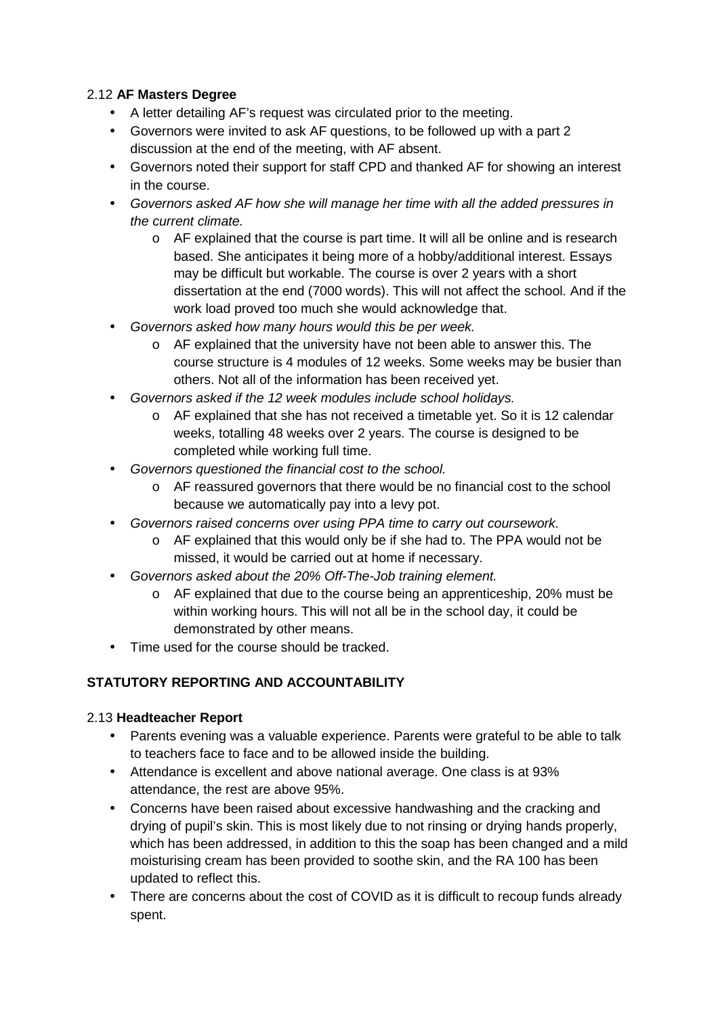# 2.12 **AF Masters Degree**

- A letter detailing AF's request was circulated prior to the meeting.
- Governors were invited to ask AF questions, to be followed up with a part 2 discussion at the end of the meeting, with AF absent.
- Governors noted their support for staff CPD and thanked AF for showing an interest in the course.
- Governors asked AF how she will manage her time with all the added pressures in the current climate.
	- $\circ$  AF explained that the course is part time. It will all be online and is research based. She anticipates it being more of a hobby/additional interest. Essays may be difficult but workable. The course is over 2 years with a short dissertation at the end (7000 words). This will not affect the school. And if the work load proved too much she would acknowledge that.
- Governors asked how many hours would this be per week.
	- o AF explained that the university have not been able to answer this. The course structure is 4 modules of 12 weeks. Some weeks may be busier than others. Not all of the information has been received yet.
- Governors asked if the 12 week modules include school holidays.
	- o AF explained that she has not received a timetable yet. So it is 12 calendar weeks, totalling 48 weeks over 2 years. The course is designed to be completed while working full time.
- Governors questioned the financial cost to the school.
	- o AF reassured governors that there would be no financial cost to the school because we automatically pay into a levy pot.
- Governors raised concerns over using PPA time to carry out coursework.
	- o AF explained that this would only be if she had to. The PPA would not be missed, it would be carried out at home if necessary.
- Governors asked about the 20% Off-The-Job training element.
	- o AF explained that due to the course being an apprenticeship, 20% must be within working hours. This will not all be in the school day, it could be demonstrated by other means.
- Time used for the course should be tracked.

# **STATUTORY REPORTING AND ACCOUNTABILITY**

### 2.13 **Headteacher Report**

- Parents evening was a valuable experience. Parents were grateful to be able to talk to teachers face to face and to be allowed inside the building.
- Attendance is excellent and above national average. One class is at 93% attendance, the rest are above 95%.
- Concerns have been raised about excessive handwashing and the cracking and drying of pupil's skin. This is most likely due to not rinsing or drying hands properly, which has been addressed, in addition to this the soap has been changed and a mild moisturising cream has been provided to soothe skin, and the RA 100 has been updated to reflect this.
- There are concerns about the cost of COVID as it is difficult to recoup funds already spent.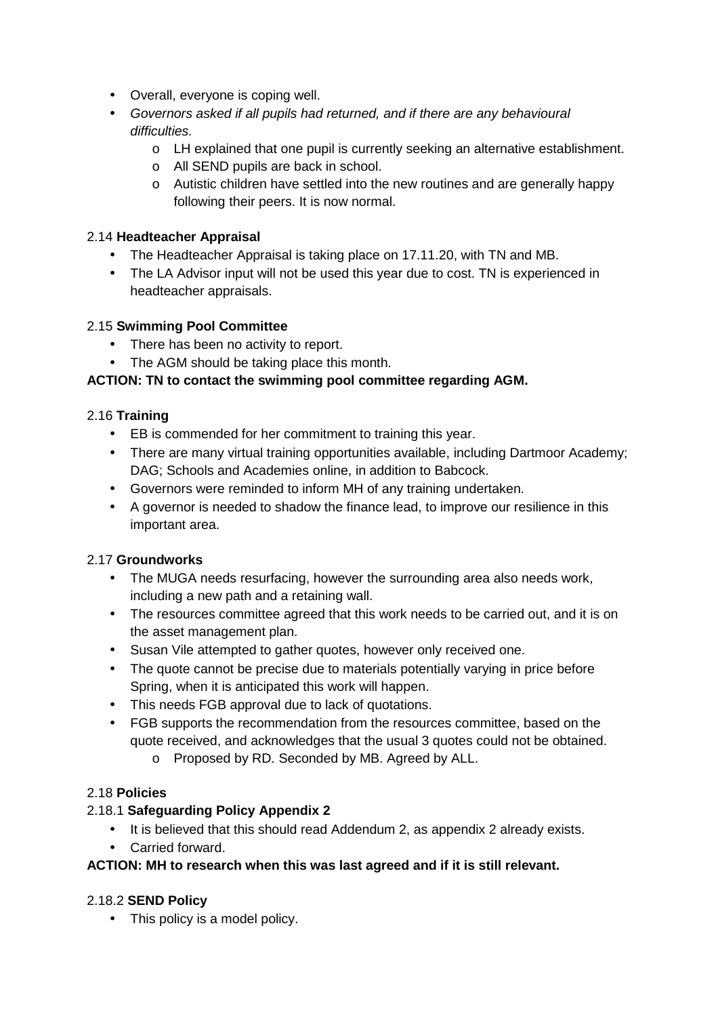- Overall, everyone is coping well.
- Governors asked if all pupils had returned, and if there are any behavioural difficulties.
	- o LH explained that one pupil is currently seeking an alternative establishment.
	- o All SEND pupils are back in school.
	- o Autistic children have settled into the new routines and are generally happy following their peers. It is now normal.

### 2.14 **Headteacher Appraisal**

- The Headteacher Appraisal is taking place on 17.11.20, with TN and MB.
- The LA Advisor input will not be used this year due to cost. TN is experienced in headteacher appraisals.

### 2.15 **Swimming Pool Committee**

- There has been no activity to report.
- The AGM should be taking place this month.

# **ACTION: TN to contact the swimming pool committee regarding AGM.**

### 2.16 **Training**

- EB is commended for her commitment to training this year.
- There are many virtual training opportunities available, including Dartmoor Academy; DAG; Schools and Academies online, in addition to Babcock.
- Governors were reminded to inform MH of any training undertaken.
- A governor is needed to shadow the finance lead, to improve our resilience in this important area.

# 2.17 **Groundworks**

- The MUGA needs resurfacing, however the surrounding area also needs work, including a new path and a retaining wall.
- The resources committee agreed that this work needs to be carried out, and it is on the asset management plan.
- Susan Vile attempted to gather quotes, however only received one.
- The quote cannot be precise due to materials potentially varying in price before Spring, when it is anticipated this work will happen.
- This needs FGB approval due to lack of quotations.
- FGB supports the recommendation from the resources committee, based on the quote received, and acknowledges that the usual 3 quotes could not be obtained. o Proposed by RD. Seconded by MB. Agreed by ALL.

### 2.18 **Policies**

# 2.18.1 **Safeguarding Policy Appendix 2**

- It is believed that this should read Addendum 2, as appendix 2 already exists.
- Carried forward.

### **ACTION: MH to research when this was last agreed and if it is still relevant.**

### 2.18.2 **SEND Policy**

• This policy is a model policy.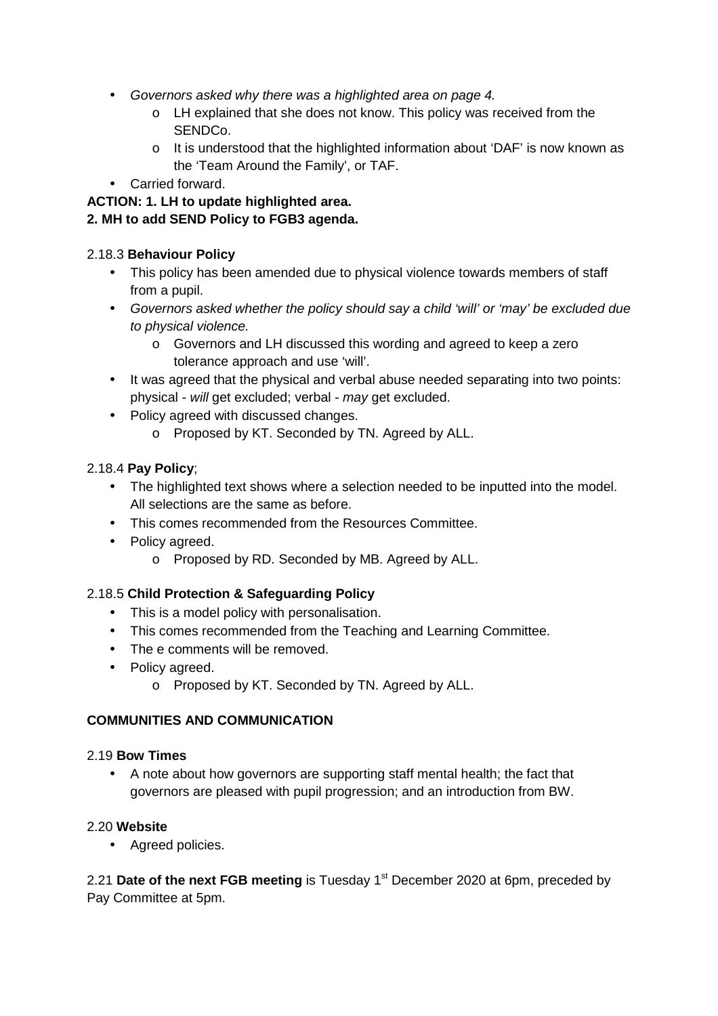- Governors asked why there was a highlighted area on page 4.
	- o LH explained that she does not know. This policy was received from the SENDCo.
	- $\circ$  It is understood that the highlighted information about 'DAF' is now known as the 'Team Around the Family', or TAF.
- Carried forward.

#### **ACTION: 1. LH to update highlighted area. 2. MH to add SEND Policy to FGB3 agenda.**

# 2.18.3 **Behaviour Policy**

- This policy has been amended due to physical violence towards members of staff from a pupil.
- Governors asked whether the policy should say a child 'will' or 'may' be excluded due to physical violence.
	- o Governors and LH discussed this wording and agreed to keep a zero tolerance approach and use 'will'.
- It was agreed that the physical and verbal abuse needed separating into two points: physical - will get excluded; verbal - may get excluded.
- Policy agreed with discussed changes.
	- o Proposed by KT. Seconded by TN. Agreed by ALL.

# 2.18.4 **Pay Policy**;

- The highlighted text shows where a selection needed to be inputted into the model. All selections are the same as before.
- This comes recommended from the Resources Committee.
- Policy agreed.
	- o Proposed by RD. Seconded by MB. Agreed by ALL.

# 2.18.5 **Child Protection & Safeguarding Policy**

- This is a model policy with personalisation.
- This comes recommended from the Teaching and Learning Committee.
- The e comments will be removed.
- Policy agreed.
	- o Proposed by KT. Seconded by TN. Agreed by ALL.

### **COMMUNITIES AND COMMUNICATION**

### 2.19 **Bow Times**

• A note about how governors are supporting staff mental health; the fact that governors are pleased with pupil progression; and an introduction from BW.

### 2.20 **Website**

• Agreed policies.

2.21 **Date of the next FGB meeting** is Tuesday 1<sup>st</sup> December 2020 at 6pm, preceded by Pay Committee at 5pm.